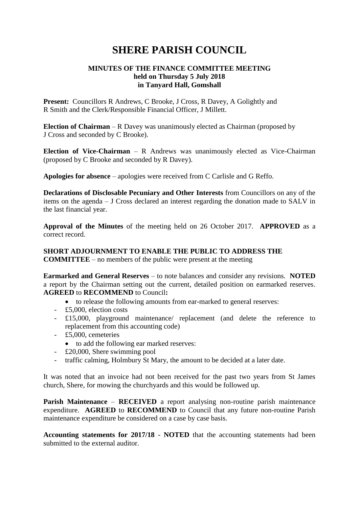# **SHERE PARISH COUNCIL**

## **MINUTES OF THE FINANCE COMMITTEE MEETING held on Thursday 5 July 2018 in Tanyard Hall, Gomshall**

**Present:** Councillors R Andrews, C Brooke, J Cross, R Davey, A Golightly and R Smith and the Clerk/Responsible Financial Officer, J Millett.

**Election of Chairman** – R Davey was unanimously elected as Chairman (proposed by J Cross and seconded by C Brooke).

**Election of Vice-Chairman** – R Andrews was unanimously elected as Vice-Chairman (proposed by C Brooke and seconded by R Davey).

**Apologies for absence** – apologies were received from C Carlisle and G Reffo.

**Declarations of Disclosable Pecuniary and Other Interests** from Councillors on any of the items on the agenda – J Cross declared an interest regarding the donation made to SALV in the last financial year.

**Approval of the Minutes** of the meeting held on 26 October 2017. **APPROVED** as a correct record.

### **SHORT ADJOURNMENT TO ENABLE THE PUBLIC TO ADDRESS THE COMMITTEE** – no members of the public were present at the meeting

**Earmarked and General Reserves** – to note balances and consider any revisions. **NOTED** a report by the Chairman setting out the current, detailed position on earmarked reserves. **AGREED** to **RECOMMEND** to Council**:**

- to release the following amounts from ear-marked to general reserves:
- £5,000, election costs
- £15,000, playground maintenance/ replacement (and delete the reference to replacement from this accounting code)
- £5,000, cemeteries
	- to add the following ear marked reserves:
- £20,000, Shere swimming pool
- traffic calming, Holmbury St Mary, the amount to be decided at a later date.

It was noted that an invoice had not been received for the past two years from St James church, Shere, for mowing the churchyards and this would be followed up.

**Parish Maintenance** – **RECEIVED** a report analysing non-routine parish maintenance expenditure. **AGREED** to **RECOMMEND** to Council that any future non-routine Parish maintenance expenditure be considered on a case by case basis.

**Accounting statements for 2017/18** - **NOTED** that the accounting statements had been submitted to the external auditor.